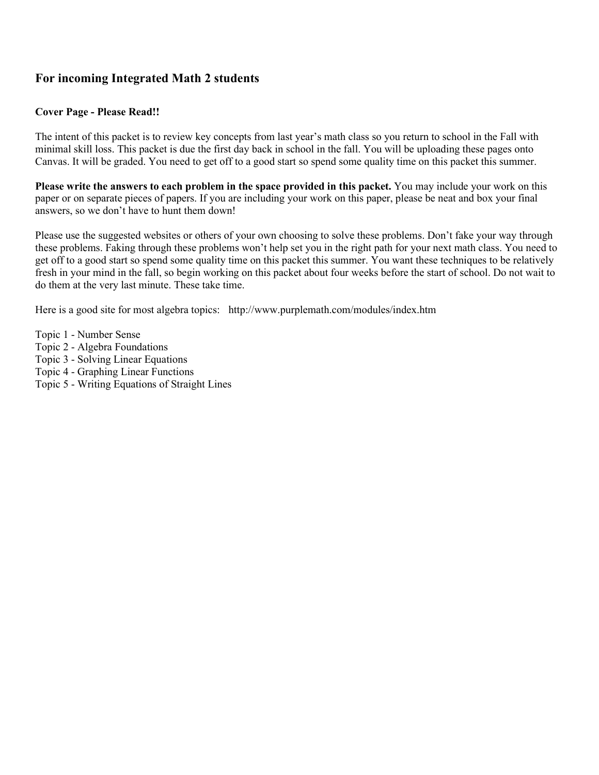## **For incoming Integrated Math 2 students**

#### **Cover Page - Please Read!!**

The intent of this packet is to review key concepts from last year's math class so you return to school in the Fall with minimal skill loss. This packet is due the first day back in school in the fall. You will be uploading these pages onto Canvas. It will be graded. You need to get off to a good start so spend some quality time on this packet this summer.

**Please write the answers to each problem in the space provided in this packet.** You may include your work on this paper or on separate pieces of papers. If you are including your work on this paper, please be neat and box your final answers, so we don't have to hunt them down!

Please use the suggested websites or others of your own choosing to solve these problems. Don't fake your way through these problems. Faking through these problems won't help set you in the right path for your next math class. You need to get off to a good start so spend some quality time on this packet this summer. You want these techniques to be relatively fresh in your mind in the fall, so begin working on this packet about four weeks before the start of school. Do not wait to do them at the very last minute. These take time.

Here is a good site for most algebra topics: http://www.purplemath.com/modules/index.htm

- Topic 1 Number Sense
- Topic 2 Algebra Foundations
- Topic 3 Solving Linear Equations
- Topic 4 Graphing Linear Functions
- Topic 5 Writing Equations of Straight Lines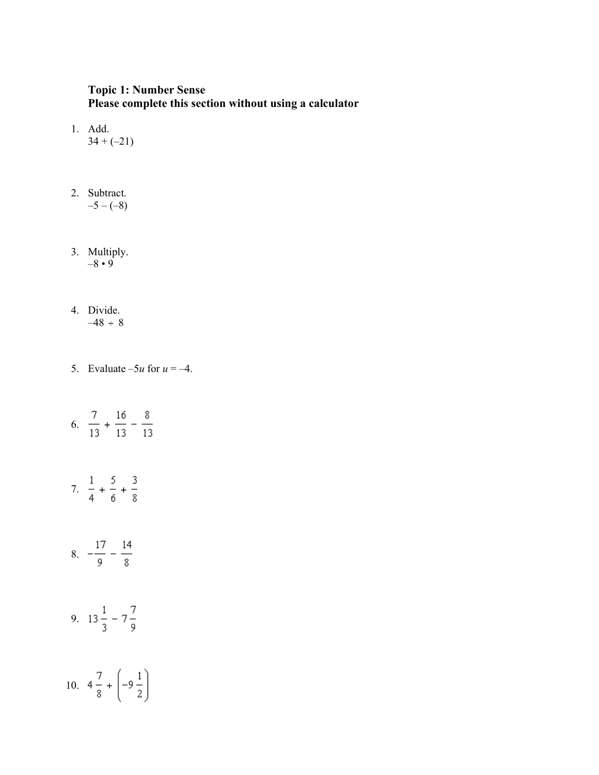### **Topic 1: Number Sense Please complete this section without using a calculator**

- 1. Add.  $34 + (-21)$
- 2. Subtract.  $-5 - (-8)$
- 3. Multiply.  $-8 \cdot 9$
- 4. Divide.  $-48 \div 8$
- 5. Evaluate  $-5u$  for  $u = -4$ .
- 6.  $\frac{7}{13} + \frac{16}{13} \frac{8}{13}$ 7.  $\frac{1}{4} + \frac{5}{6} + \frac{3}{8}$ 8.  $-\frac{17}{9} - \frac{14}{8}$ 9.  $13\frac{1}{3} - 7\frac{7}{9}$ 10.  $4\frac{7}{8} + \left(-9\frac{1}{2}\right)$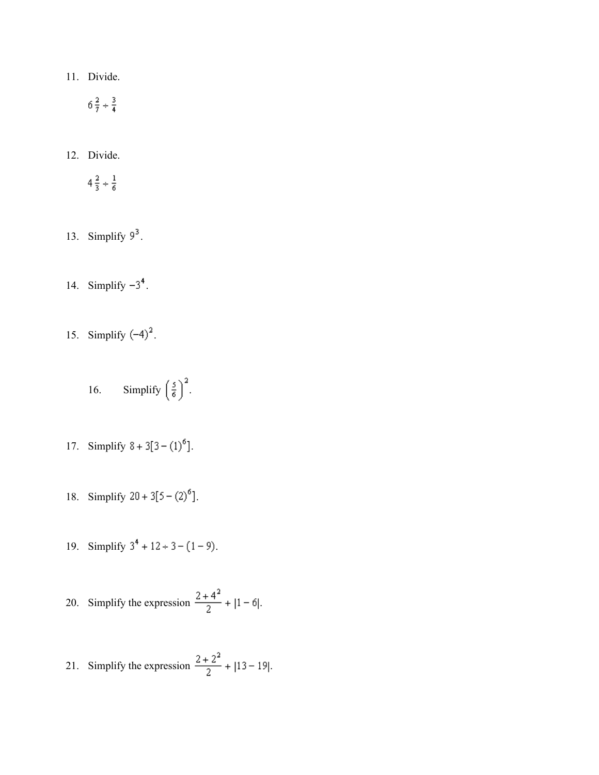11. Divide.

$$
6\frac{2}{7} \div \frac{3}{4}
$$

12. Divide.

$$
4\frac{2}{3} \div \frac{1}{6}
$$

- 13. Simplify  $9^3$ .
- 14. Simplify  $-3^4$ .
- 15. Simplify  $(-4)^2$ .
	- 16. Simplify  $\left(\frac{5}{6}\right)^2$ .
- 17. Simplify  $8 + 3[3 (1)^6]$ .
- 18. Simplify  $20 + 3[5 (2)^6]$ .
- 19. Simplify  $3^4 + 12 \div 3 (1 9)$ .

20. Simplify the expression 
$$
\frac{2+4^2}{2} + |1-6|.
$$

21. Simplify the expression 
$$
\frac{2+2^2}{2} + |13-19|.
$$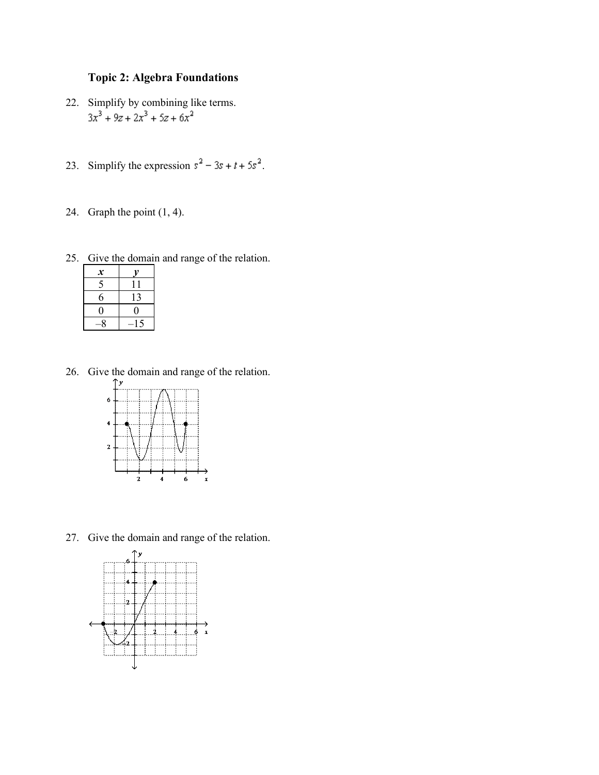## **Topic 2: Algebra Foundations**

- 22. Simplify by combining like terms.<br> $3x^3 + 9z + 2x^3 + 5z + 6x^2$
- 23. Simplify the expression  $s^2 3s + t + 5s^2$ .
- 24. Graph the point (1, 4).

25. Give the domain and range of the relation.

| x        |    |
|----------|----|
| 5        | 11 |
| 6        | 13 |
| 0        | 0  |
| <b>Q</b> | 15 |

26. Give the domain and range of the relation.



27. Give the domain and range of the relation.

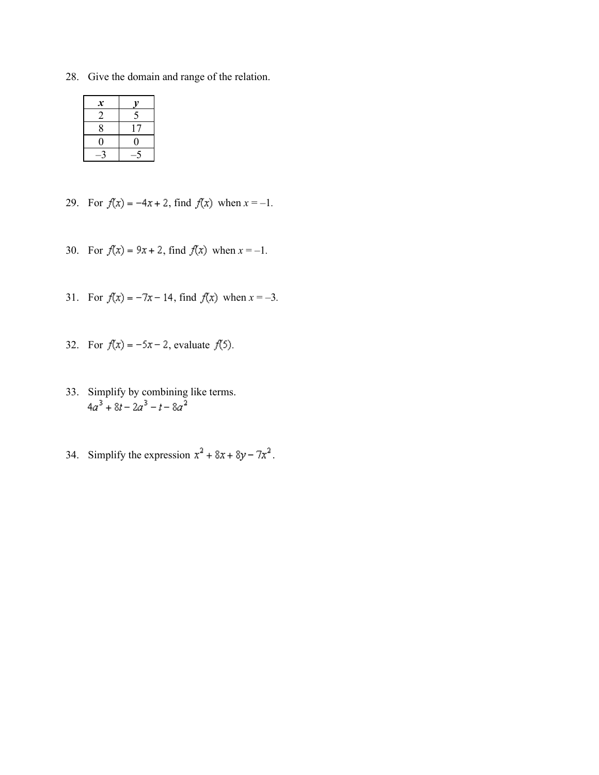28. Give the domain and range of the relation.

| $\boldsymbol{x}$ |    |
|------------------|----|
| 2                | 5  |
| 8                | 17 |
| 0                | 0  |
|                  |    |

- 29. For  $f(x) = -4x + 2$ , find  $f(x)$  when  $x = -1$ .
- 30. For  $f(x) = 9x + 2$ , find  $f(x)$  when  $x = -1$ .
- 31. For  $f(x) = -7x 14$ , find  $f(x)$  when  $x = -3$ .
- 32. For  $f(x) = -5x 2$ , evaluate  $f(5)$ .
- 33. Simplify by combining like terms.<br> $4a^3 + 8t 2a^3 t 8a^2$
- 34. Simplify the expression  $x^2 + 8x + 8y 7x^2$ .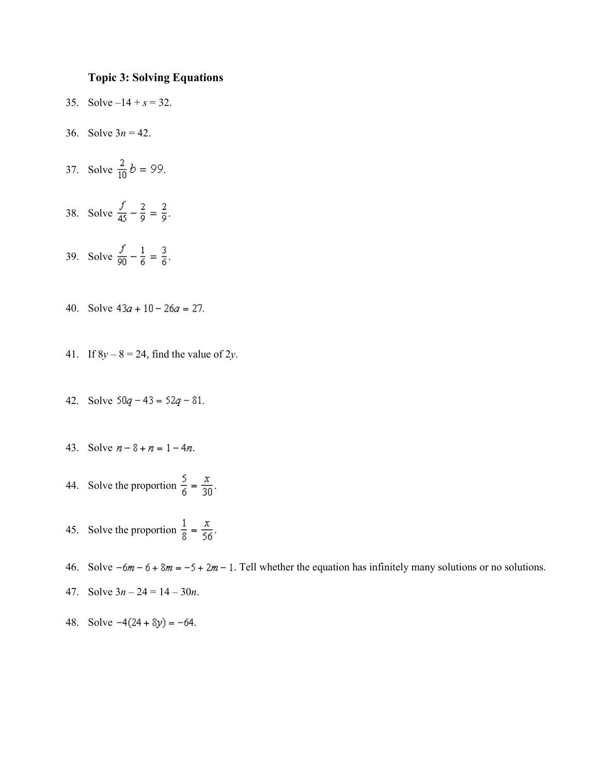#### **Topic 3: Solving Equations**

- 35. Solve  $-14 + s = 32$ .
- 36. Solve  $3n = 42$ .
- 37. Solve  $\frac{2}{10}b = 99$ .
- 38. Solve  $\frac{f}{45} \frac{2}{9} = \frac{2}{9}$ .
- 39. Solve  $\frac{f}{90} \frac{1}{6} = \frac{3}{6}$ .
- 40. Solve  $43a + 10 26a = 27$ .
- 41. If  $8y 8 = 24$ , find the value of 2*y*.
- 42. Solve  $50q 43 = 52q 81$ .
- 43. Solve  $n 8 + n = 1 4n$ .
- 44. Solve the proportion  $\frac{5}{6} = \frac{x}{30}$ .
- 45. Solve the proportion  $\frac{1}{8} = \frac{x}{56}$ .
- 46. Solve  $-6m 6 + 8m = -5 + 2m 1$ . Tell whether the equation has infinitely many solutions or no solutions.
- 47. Solve 3*n* 24 = 14 30*n*.
- 48. Solve  $-4(24 + 8y) = -64$ .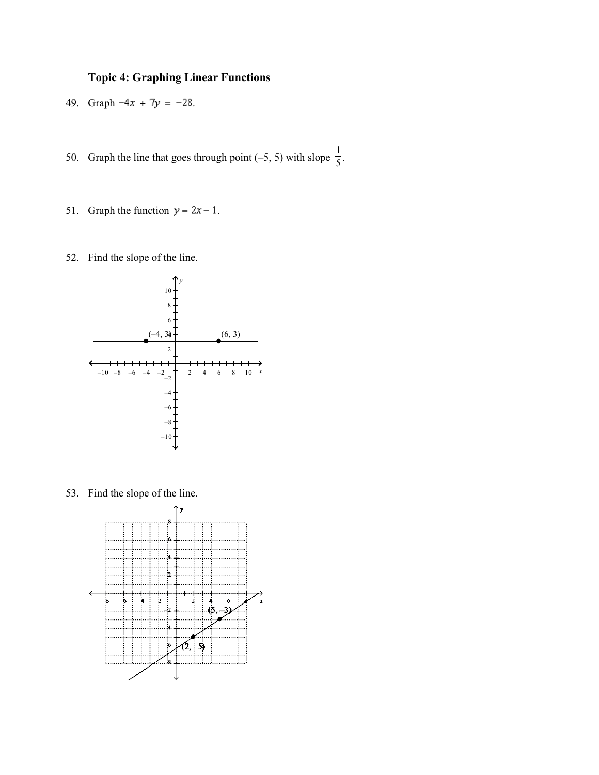# **Topic 4: Graphing Linear Functions**

- 49. Graph  $-4x + 7y = -28$ .
- 50. Graph the line that goes through point (-5, 5) with slope  $\frac{1}{5}$ .
	- 51. Graph the function  $y = 2x 1$ .
	- 52. Find the slope of the line.



53. Find the slope of the line.

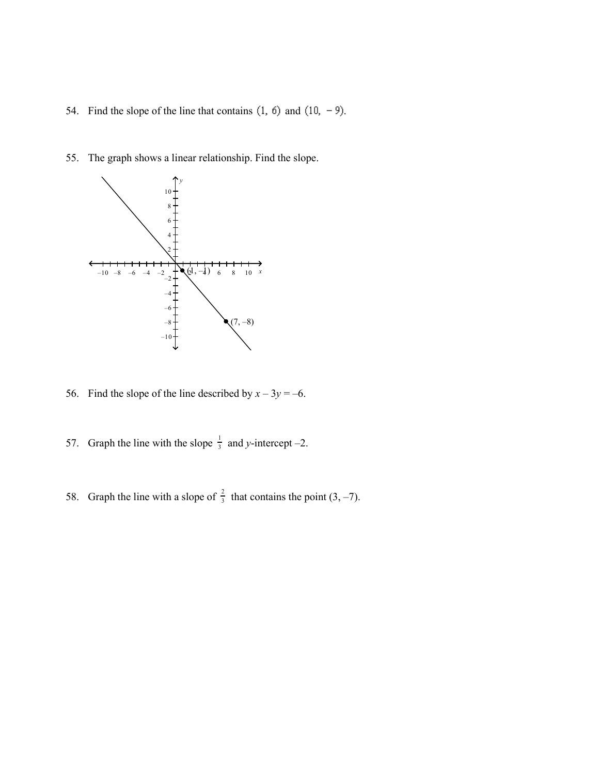- 54. Find the slope of the line that contains  $(1, 6)$  and  $(10, -9)$ .
- 55. The graph shows a linear relationship. Find the slope.



56. Find the slope of the line described by  $x - 3y = -6$ .

- 57. Graph the line with the slope  $\frac{1}{3}$  and *y*-intercept -2.
- 58. Graph the line with a slope of  $\frac{2}{3}$  that contains the point (3, -7).